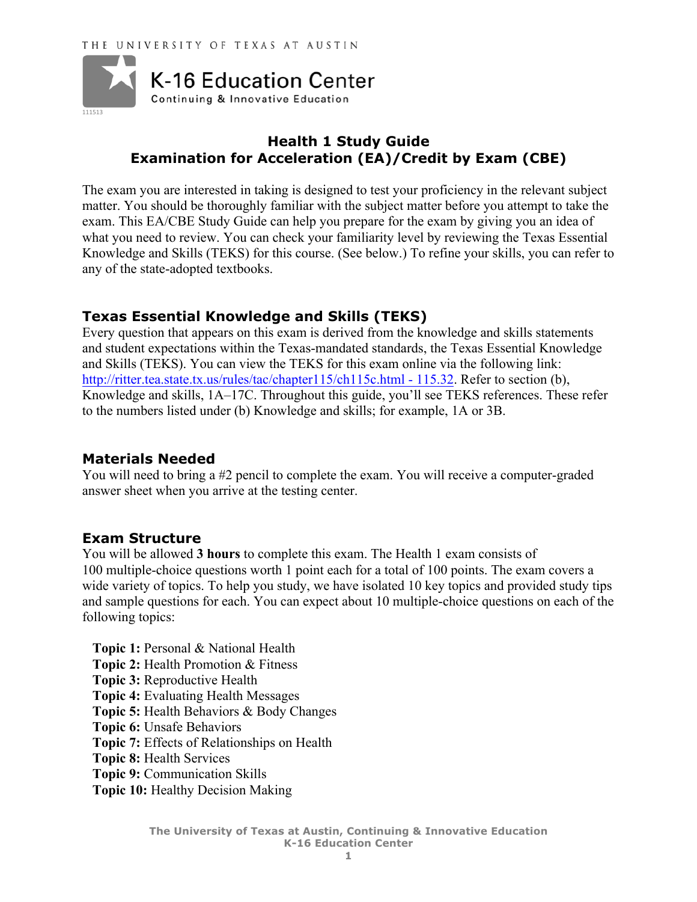

# **Health 1 Study Guide Examination for Acceleration (EA)/Credit by Exam (CBE)**

The exam you are interested in taking is designed to test your proficiency in the relevant subject matter. You should be thoroughly familiar with the subject matter before you attempt to take the exam. This EA/CBE Study Guide can help you prepare for the exam by giving you an idea of what you need to review. You can check your familiarity level by reviewing the Texas Essential Knowledge and Skills (TEKS) for this course. (See below.) To refine your skills, you can refer to any of the state-adopted textbooks.

## **Texas Essential Knowledge and Skills (TEKS)**

Every question that appears on this exam is derived from the knowledge and skills statements and student expectations within the Texas-mandated standards, the Texas Essential Knowledge and Skills (TEKS). You can view the TEKS for this exam online via the following link: http://ritter.tea.state.tx.us/rules/tac/chapter115/ch115c.html - 115.32. Refer to section (b), Knowledge and skills, 1A–17C. Throughout this guide, you'll see TEKS references. These refer to the numbers listed under (b) Knowledge and skills; for example, 1A or 3B.

## **Materials Needed**

You will need to bring a #2 pencil to complete the exam. You will receive a computer-graded answer sheet when you arrive at the testing center.

## **Exam Structure**

You will be allowed **3 hours** to complete this exam. The Health 1 exam consists of 100 multiple-choice questions worth 1 point each for a total of 100 points. The exam covers a wide variety of topics. To help you study, we have isolated 10 key topics and provided study tips and sample questions for each. You can expect about 10 multiple-choice questions on each of the following topics:

**Topic 1:** Personal & National Health **Topic 2:** Health Promotion & Fitness **Topic 3:** Reproductive Health **Topic 4:** Evaluating Health Messages **Topic 5:** Health Behaviors & Body Changes **Topic 6:** Unsafe Behaviors **Topic 7:** Effects of Relationships on Health **Topic 8:** Health Services **Topic 9:** Communication Skills **Topic 10:** Healthy Decision Making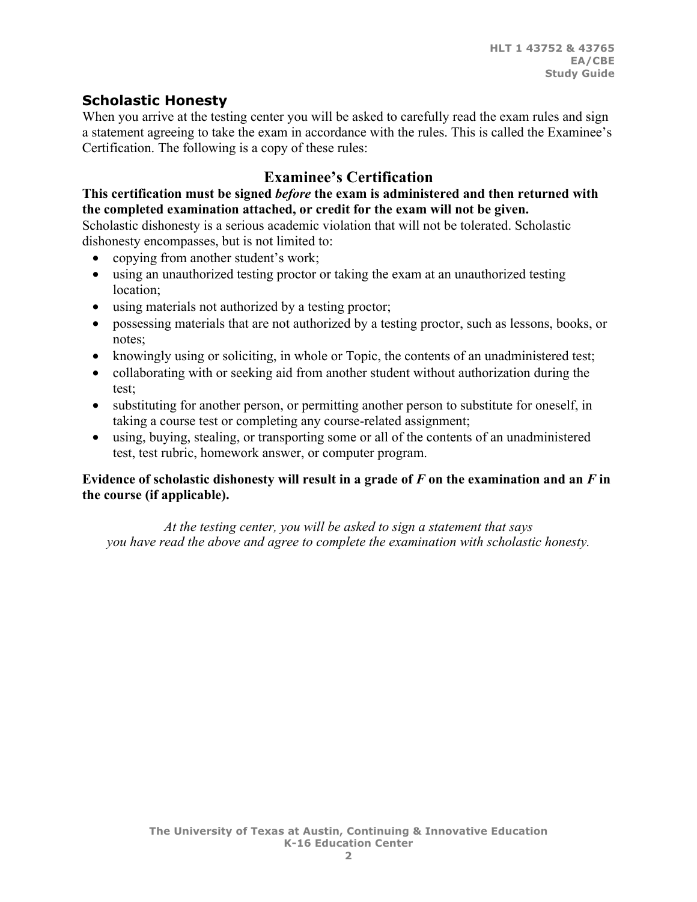# **Scholastic Honesty**

When you arrive at the testing center you will be asked to carefully read the exam rules and sign a statement agreeing to take the exam in accordance with the rules. This is called the Examinee's Certification. The following is a copy of these rules:

# **Examinee's Certification**

#### **This certification must be signed** *before* **the exam is administered and then returned with the completed examination attached, or credit for the exam will not be given.**

Scholastic dishonesty is a serious academic violation that will not be tolerated. Scholastic dishonesty encompasses, but is not limited to:

- copying from another student's work;
- using an unauthorized testing proctor or taking the exam at an unauthorized testing location;
- using materials not authorized by a testing proctor;
- possessing materials that are not authorized by a testing proctor, such as lessons, books, or notes;
- knowingly using or soliciting, in whole or Topic, the contents of an unadministered test;
- collaborating with or seeking aid from another student without authorization during the test;
- substituting for another person, or permitting another person to substitute for oneself, in taking a course test or completing any course-related assignment;
- using, buying, stealing, or transporting some or all of the contents of an unadministered test, test rubric, homework answer, or computer program.

### **Evidence of scholastic dishonesty will result in a grade of**  $F$  **on the examination and an**  $F$  **in the course (if applicable).**

*At the testing center, you will be asked to sign a statement that says you have read the above and agree to complete the examination with scholastic honesty.*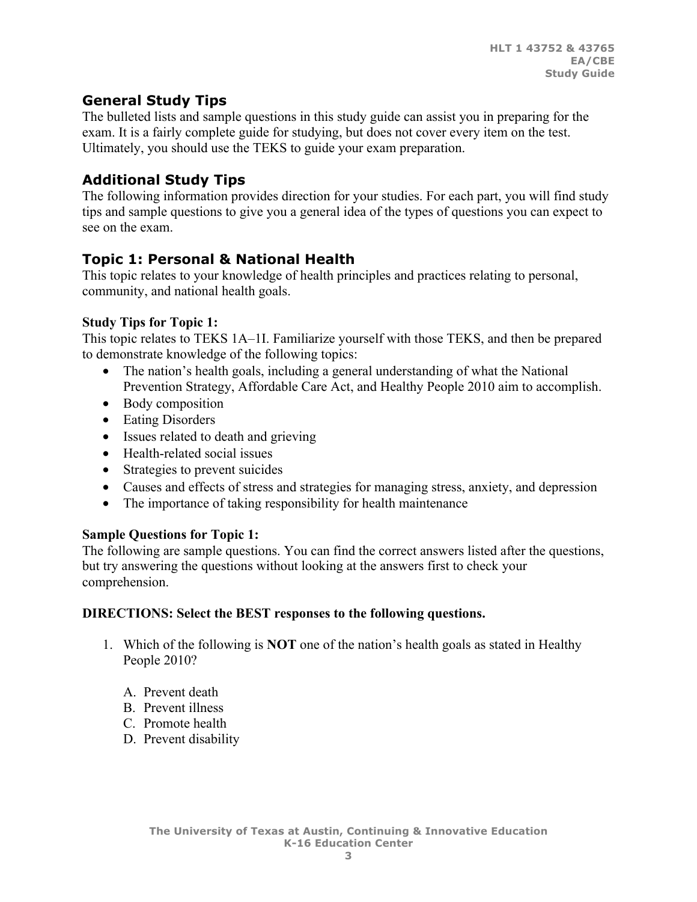# **General Study Tips**

The bulleted lists and sample questions in this study guide can assist you in preparing for the exam. It is a fairly complete guide for studying, but does not cover every item on the test. Ultimately, you should use the TEKS to guide your exam preparation.

# **Additional Study Tips**

The following information provides direction for your studies. For each part, you will find study tips and sample questions to give you a general idea of the types of questions you can expect to see on the exam.

# **Topic 1: Personal & National Health**

This topic relates to your knowledge of health principles and practices relating to personal, community, and national health goals.

### **Study Tips for Topic 1:**

This topic relates to TEKS 1A–1I. Familiarize yourself with those TEKS, and then be prepared to demonstrate knowledge of the following topics:

- The nation's health goals, including a general understanding of what the National Prevention Strategy, Affordable Care Act, and Healthy People 2010 aim to accomplish.
- Body composition
- Eating Disorders
- Issues related to death and grieving
- Health-related social issues
- Strategies to prevent suicides
- Causes and effects of stress and strategies for managing stress, anxiety, and depression
- The importance of taking responsibility for health maintenance

### **Sample Questions for Topic 1:**

The following are sample questions. You can find the correct answers listed after the questions, but try answering the questions without looking at the answers first to check your comprehension.

### **DIRECTIONS: Select the BEST responses to the following questions.**

- 1. Which of the following is **NOT** one of the nation's health goals as stated in Healthy People 2010?
	- A. Prevent death
	- B. Prevent illness
	- C. Promote health
	- D. Prevent disability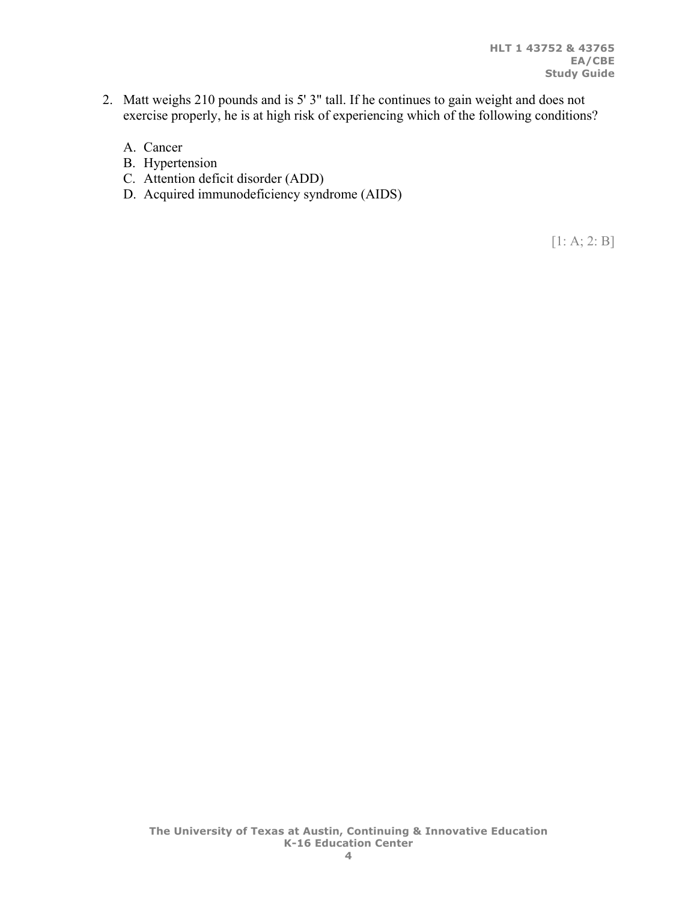- 2. Matt weighs 210 pounds and is 5' 3" tall. If he continues to gain weight and does not exercise properly, he is at high risk of experiencing which of the following conditions?
	- A. Cancer
	- B. Hypertension
	- C. Attention deficit disorder (ADD)
	- D. Acquired immunodeficiency syndrome (AIDS)

[1: A; 2: B]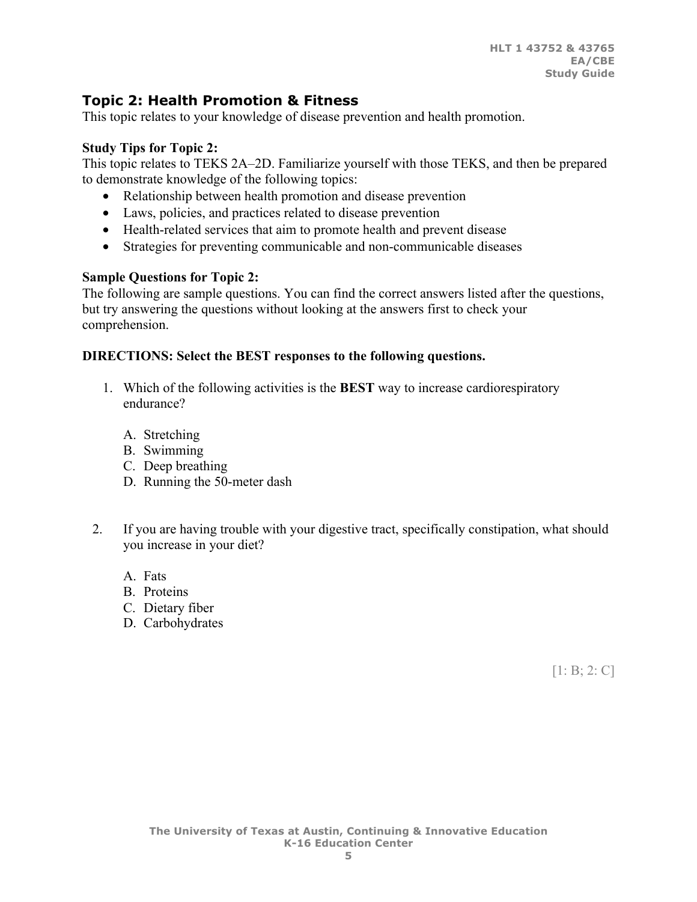# **Topic 2: Health Promotion & Fitness**

This topic relates to your knowledge of disease prevention and health promotion.

### **Study Tips for Topic 2:**

This topic relates to TEKS 2A–2D. Familiarize yourself with those TEKS, and then be prepared to demonstrate knowledge of the following topics:

- Relationship between health promotion and disease prevention
- Laws, policies, and practices related to disease prevention
- Health-related services that aim to promote health and prevent disease
- Strategies for preventing communicable and non-communicable diseases

## **Sample Questions for Topic 2:**

The following are sample questions. You can find the correct answers listed after the questions, but try answering the questions without looking at the answers first to check your comprehension.

### **DIRECTIONS: Select the BEST responses to the following questions.**

- 1. Which of the following activities is the **BEST** way to increase cardiorespiratory endurance?
	- A. Stretching
	- B. Swimming
	- C. Deep breathing
	- D. Running the 50-meter dash
- 2. If you are having trouble with your digestive tract, specifically constipation, what should you increase in your diet?
	- A. Fats
	- B. Proteins
	- C. Dietary fiber
	- D. Carbohydrates

[1: B; 2: C]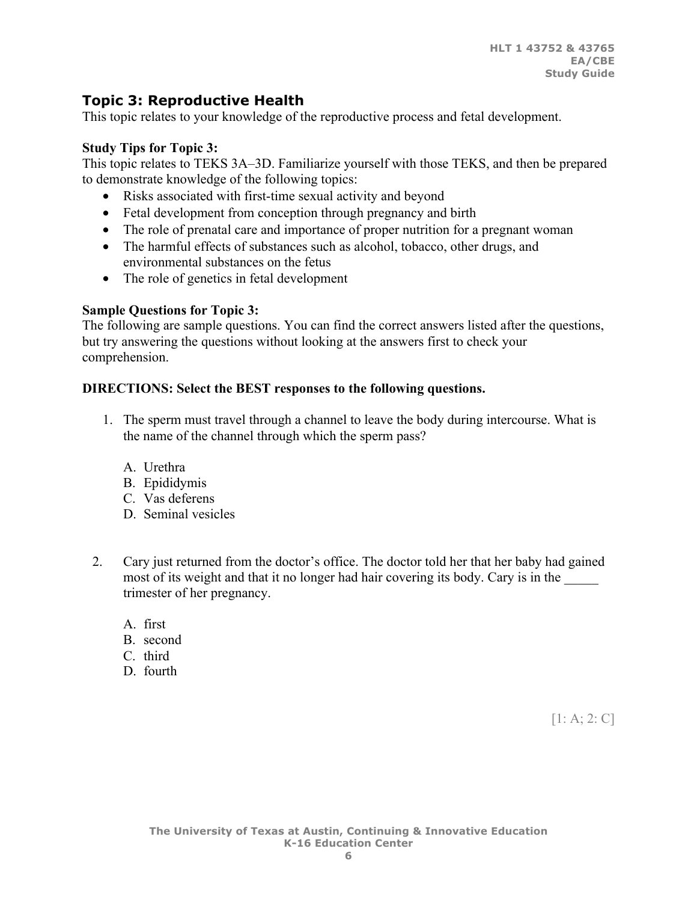# **Topic 3: Reproductive Health**

This topic relates to your knowledge of the reproductive process and fetal development.

#### **Study Tips for Topic 3:**

This topic relates to TEKS 3A–3D. Familiarize yourself with those TEKS, and then be prepared to demonstrate knowledge of the following topics:

- Risks associated with first-time sexual activity and beyond
- Fetal development from conception through pregnancy and birth
- The role of prenatal care and importance of proper nutrition for a pregnant woman
- The harmful effects of substances such as alcohol, tobacco, other drugs, and environmental substances on the fetus
- The role of genetics in fetal development

#### **Sample Questions for Topic 3:**

The following are sample questions. You can find the correct answers listed after the questions, but try answering the questions without looking at the answers first to check your comprehension.

#### **DIRECTIONS: Select the BEST responses to the following questions.**

- 1. The sperm must travel through a channel to leave the body during intercourse. What is the name of the channel through which the sperm pass?
	- A. Urethra
	- B. Epididymis
	- C. Vas deferens
	- D. Seminal vesicles
- 2. Cary just returned from the doctor's office. The doctor told her that her baby had gained most of its weight and that it no longer had hair covering its body. Cary is in the trimester of her pregnancy.
	- A. first
	- B. second
	- C. third
	- D. fourth

 $[1: A; 2: C]$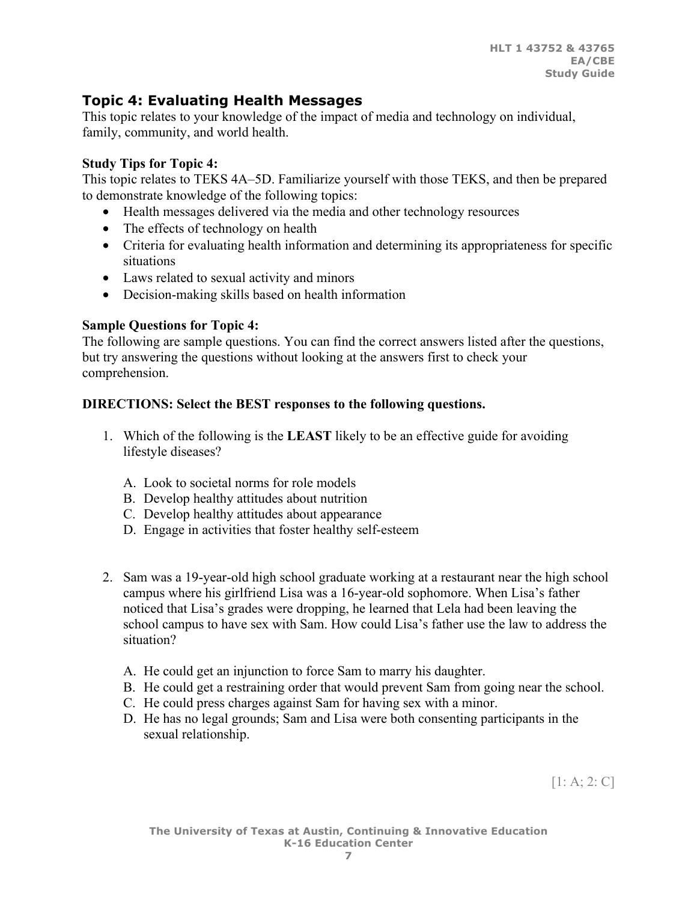# **Topic 4: Evaluating Health Messages**

This topic relates to your knowledge of the impact of media and technology on individual, family, community, and world health.

### **Study Tips for Topic 4:**

This topic relates to TEKS 4A–5D. Familiarize yourself with those TEKS, and then be prepared to demonstrate knowledge of the following topics:

- Health messages delivered via the media and other technology resources
- The effects of technology on health
- Criteria for evaluating health information and determining its appropriateness for specific situations
- Laws related to sexual activity and minors
- Decision-making skills based on health information

## **Sample Questions for Topic 4:**

The following are sample questions. You can find the correct answers listed after the questions, but try answering the questions without looking at the answers first to check your comprehension.

## **DIRECTIONS: Select the BEST responses to the following questions.**

- 1. Which of the following is the **LEAST** likely to be an effective guide for avoiding lifestyle diseases?
	- A. Look to societal norms for role models
	- B. Develop healthy attitudes about nutrition
	- C. Develop healthy attitudes about appearance
	- D. Engage in activities that foster healthy self-esteem
- 2. Sam was a 19-year-old high school graduate working at a restaurant near the high school campus where his girlfriend Lisa was a 16-year-old sophomore. When Lisa's father noticed that Lisa's grades were dropping, he learned that Lela had been leaving the school campus to have sex with Sam. How could Lisa's father use the law to address the situation?
	- A. He could get an injunction to force Sam to marry his daughter.
	- B. He could get a restraining order that would prevent Sam from going near the school.
	- C. He could press charges against Sam for having sex with a minor.
	- D. He has no legal grounds; Sam and Lisa were both consenting participants in the sexual relationship.

[1: A; 2: C]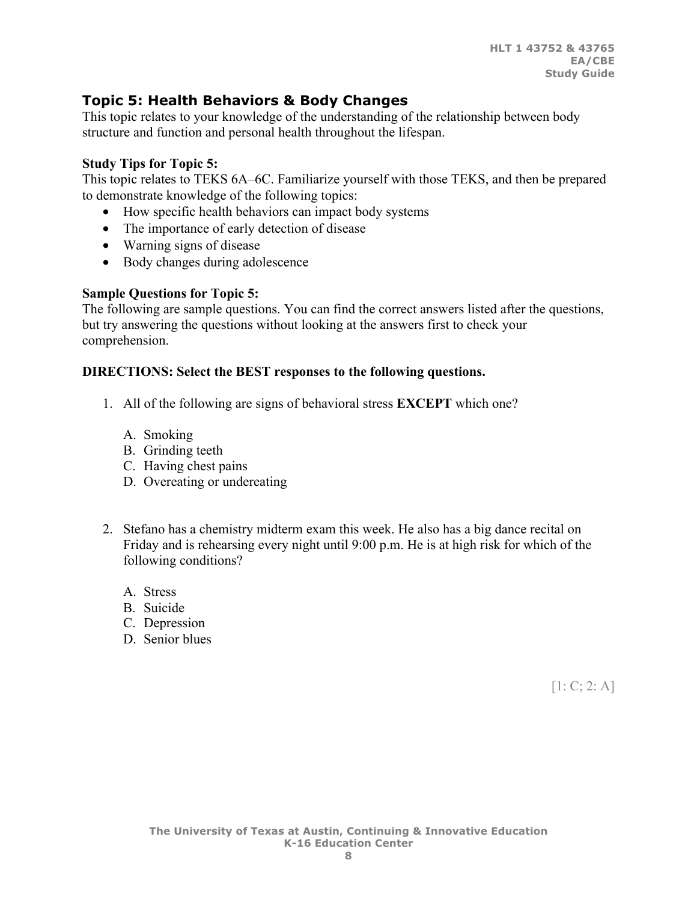# **Topic 5: Health Behaviors & Body Changes**

This topic relates to your knowledge of the understanding of the relationship between body structure and function and personal health throughout the lifespan.

#### **Study Tips for Topic 5:**

This topic relates to TEKS 6A–6C. Familiarize yourself with those TEKS, and then be prepared to demonstrate knowledge of the following topics:

- How specific health behaviors can impact body systems
- The importance of early detection of disease
- Warning signs of disease
- Body changes during adolescence

### **Sample Questions for Topic 5:**

The following are sample questions. You can find the correct answers listed after the questions, but try answering the questions without looking at the answers first to check your comprehension.

#### **DIRECTIONS: Select the BEST responses to the following questions.**

- 1. All of the following are signs of behavioral stress **EXCEPT** which one?
	- A. Smoking
	- B. Grinding teeth
	- C. Having chest pains
	- D. Overeating or undereating
- 2. Stefano has a chemistry midterm exam this week. He also has a big dance recital on Friday and is rehearsing every night until 9:00 p.m. He is at high risk for which of the following conditions?
	- A. Stress
	- B. Suicide
	- C. Depression
	- D. Senior blues

 $[1: C; 2: A]$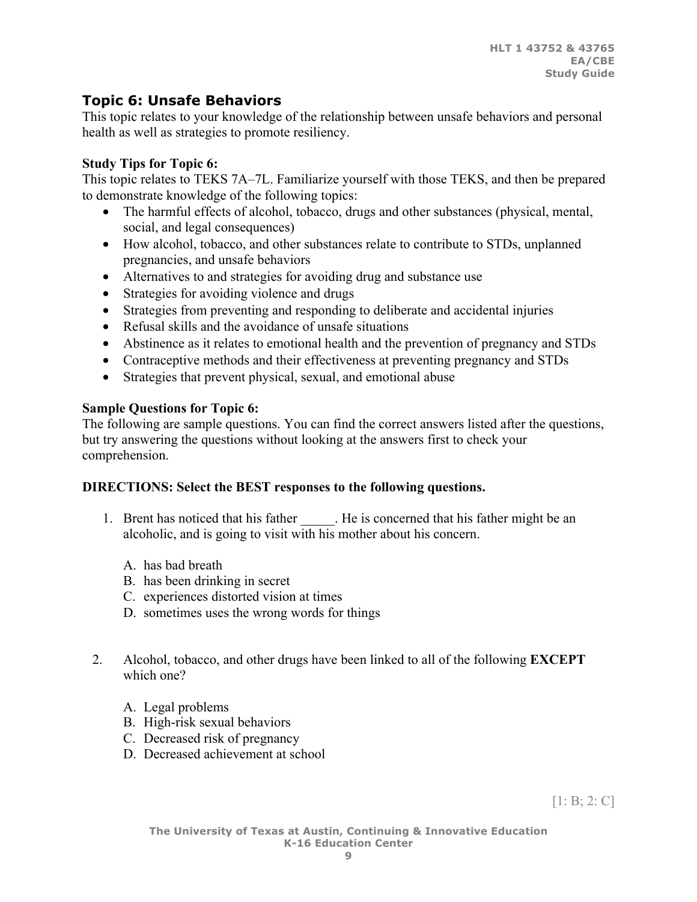# **Topic 6: Unsafe Behaviors**

This topic relates to your knowledge of the relationship between unsafe behaviors and personal health as well as strategies to promote resiliency.

## **Study Tips for Topic 6:**

This topic relates to TEKS 7A–7L. Familiarize yourself with those TEKS, and then be prepared to demonstrate knowledge of the following topics:

- The harmful effects of alcohol, tobacco, drugs and other substances (physical, mental, social, and legal consequences)
- How alcohol, tobacco, and other substances relate to contribute to STDs, unplanned pregnancies, and unsafe behaviors
- Alternatives to and strategies for avoiding drug and substance use
- Strategies for avoiding violence and drugs
- Strategies from preventing and responding to deliberate and accidental injuries
- Refusal skills and the avoidance of unsafe situations
- Abstinence as it relates to emotional health and the prevention of pregnancy and STDs
- Contraceptive methods and their effectiveness at preventing pregnancy and STDs
- Strategies that prevent physical, sexual, and emotional abuse

# **Sample Questions for Topic 6:**

The following are sample questions. You can find the correct answers listed after the questions, but try answering the questions without looking at the answers first to check your comprehension.

## **DIRECTIONS: Select the BEST responses to the following questions.**

- 1. Brent has noticed that his father . He is concerned that his father might be an alcoholic, and is going to visit with his mother about his concern.
	- A. has bad breath
	- B. has been drinking in secret
	- C. experiences distorted vision at times
	- D. sometimes uses the wrong words for things
- 2. Alcohol, tobacco, and other drugs have been linked to all of the following **EXCEPT** which one?
	- A. Legal problems
	- B. High-risk sexual behaviors
	- C. Decreased risk of pregnancy
	- D. Decreased achievement at school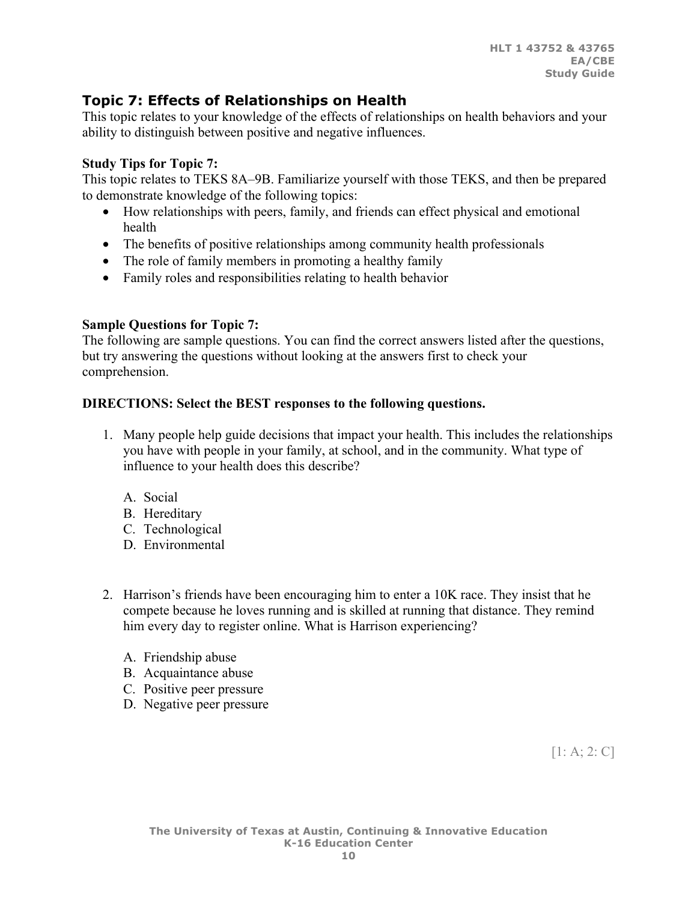# **Topic 7: Effects of Relationships on Health**

This topic relates to your knowledge of the effects of relationships on health behaviors and your ability to distinguish between positive and negative influences.

### **Study Tips for Topic 7:**

This topic relates to TEKS 8A–9B. Familiarize yourself with those TEKS, and then be prepared to demonstrate knowledge of the following topics:

- How relationships with peers, family, and friends can effect physical and emotional health
- The benefits of positive relationships among community health professionals
- The role of family members in promoting a healthy family
- Family roles and responsibilities relating to health behavior

### **Sample Questions for Topic 7:**

The following are sample questions. You can find the correct answers listed after the questions, but try answering the questions without looking at the answers first to check your comprehension.

### **DIRECTIONS: Select the BEST responses to the following questions.**

- 1. Many people help guide decisions that impact your health. This includes the relationships you have with people in your family, at school, and in the community. What type of influence to your health does this describe?
	- A. Social
	- B. Hereditary
	- C. Technological
	- D. Environmental
- 2. Harrison's friends have been encouraging him to enter a 10K race. They insist that he compete because he loves running and is skilled at running that distance. They remind him every day to register online. What is Harrison experiencing?
	- A. Friendship abuse
	- B. Acquaintance abuse
	- C. Positive peer pressure
	- D. Negative peer pressure

[1: A; 2: C]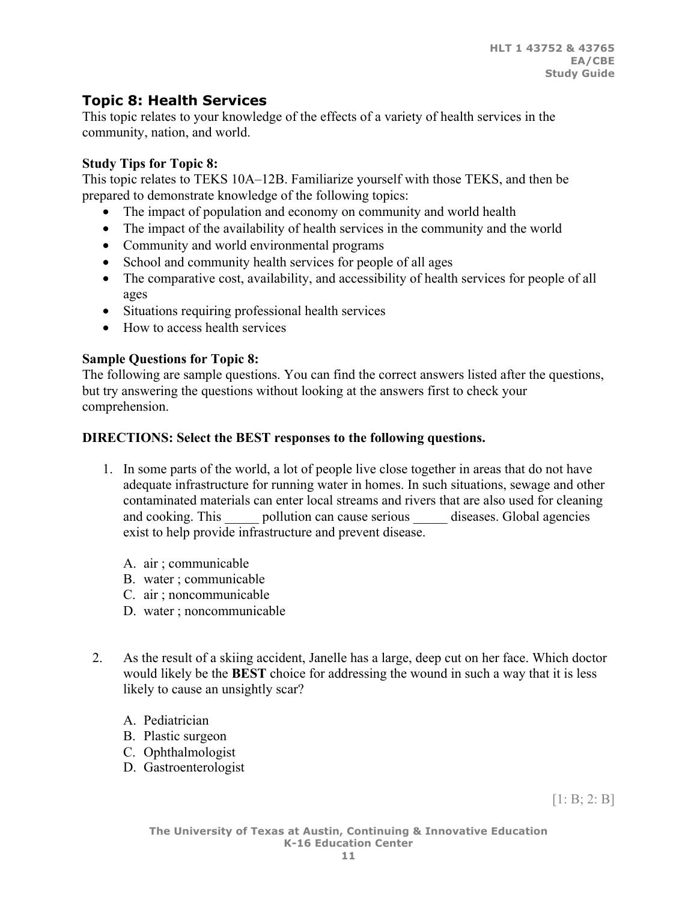# **Topic 8: Health Services**

This topic relates to your knowledge of the effects of a variety of health services in the community, nation, and world.

## **Study Tips for Topic 8:**

This topic relates to TEKS 10A–12B. Familiarize yourself with those TEKS, and then be prepared to demonstrate knowledge of the following topics:

- The impact of population and economy on community and world health
- The impact of the availability of health services in the community and the world
- Community and world environmental programs
- School and community health services for people of all ages
- The comparative cost, availability, and accessibility of health services for people of all ages
- Situations requiring professional health services
- How to access health services

## **Sample Questions for Topic 8:**

The following are sample questions. You can find the correct answers listed after the questions, but try answering the questions without looking at the answers first to check your comprehension.

## **DIRECTIONS: Select the BEST responses to the following questions.**

- 1. In some parts of the world, a lot of people live close together in areas that do not have adequate infrastructure for running water in homes. In such situations, sewage and other contaminated materials can enter local streams and rivers that are also used for cleaning and cooking. This pollution can cause serious diseases. Global agencies exist to help provide infrastructure and prevent disease.
	- A. air ; communicable
	- B. water ; communicable
	- C. air ; noncommunicable
	- D. water ; noncommunicable
- 2. As the result of a skiing accident, Janelle has a large, deep cut on her face. Which doctor would likely be the **BEST** choice for addressing the wound in such a way that it is less likely to cause an unsightly scar?
	- A. Pediatrician
	- B. Plastic surgeon
	- C. Ophthalmologist
	- D. Gastroenterologist

 $[1: B; 2: B]$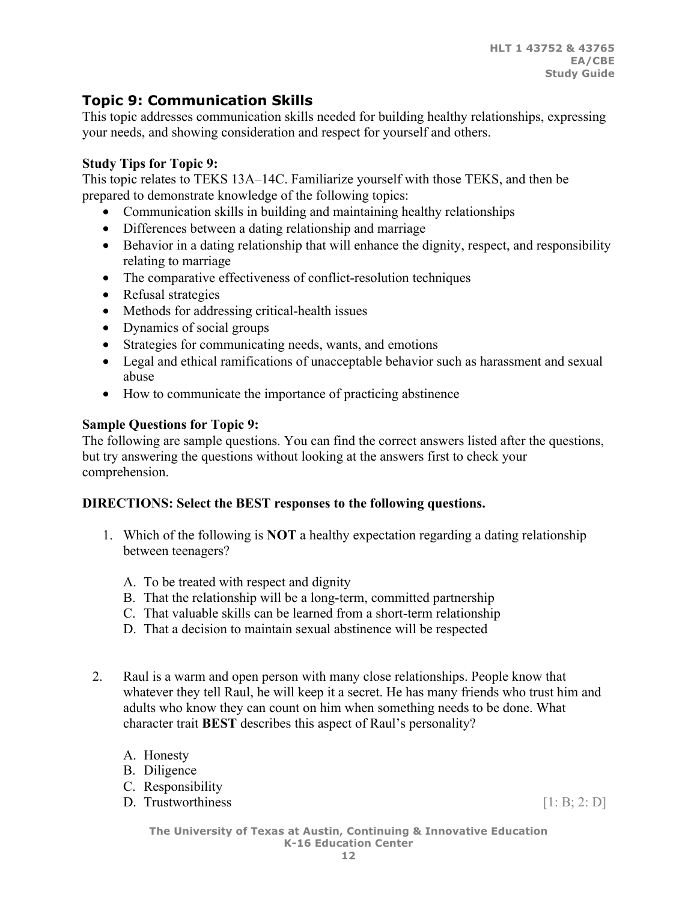# **Topic 9: Communication Skills**

This topic addresses communication skills needed for building healthy relationships, expressing your needs, and showing consideration and respect for yourself and others.

## **Study Tips for Topic 9:**

This topic relates to TEKS 13A–14C. Familiarize yourself with those TEKS, and then be prepared to demonstrate knowledge of the following topics:

- Communication skills in building and maintaining healthy relationships
- Differences between a dating relationship and marriage
- Behavior in a dating relationship that will enhance the dignity, respect, and responsibility relating to marriage
- The comparative effectiveness of conflict-resolution techniques
- Refusal strategies
- Methods for addressing critical-health issues
- Dynamics of social groups
- Strategies for communicating needs, wants, and emotions
- Legal and ethical ramifications of unacceptable behavior such as harassment and sexual abuse
- How to communicate the importance of practicing abstinence

### **Sample Questions for Topic 9:**

The following are sample questions. You can find the correct answers listed after the questions, but try answering the questions without looking at the answers first to check your comprehension.

## **DIRECTIONS: Select the BEST responses to the following questions.**

- 1. Which of the following is **NOT** a healthy expectation regarding a dating relationship between teenagers?
	- A. To be treated with respect and dignity
	- B. That the relationship will be a long-term, committed partnership
	- C. That valuable skills can be learned from a short-term relationship
	- D. That a decision to maintain sexual abstinence will be respected
- 2. Raul is a warm and open person with many close relationships. People know that whatever they tell Raul, he will keep it a secret. He has many friends who trust him and adults who know they can count on him when something needs to be done. What character trait **BEST** describes this aspect of Raul's personality?
	- A. Honesty
	- B. Diligence
	- C. Responsibility
	- D. Trustworthiness  $[1: B; 2: D]$

**The University of Texas at Austin, Continuing & Innovative Education K-16 Education Center**